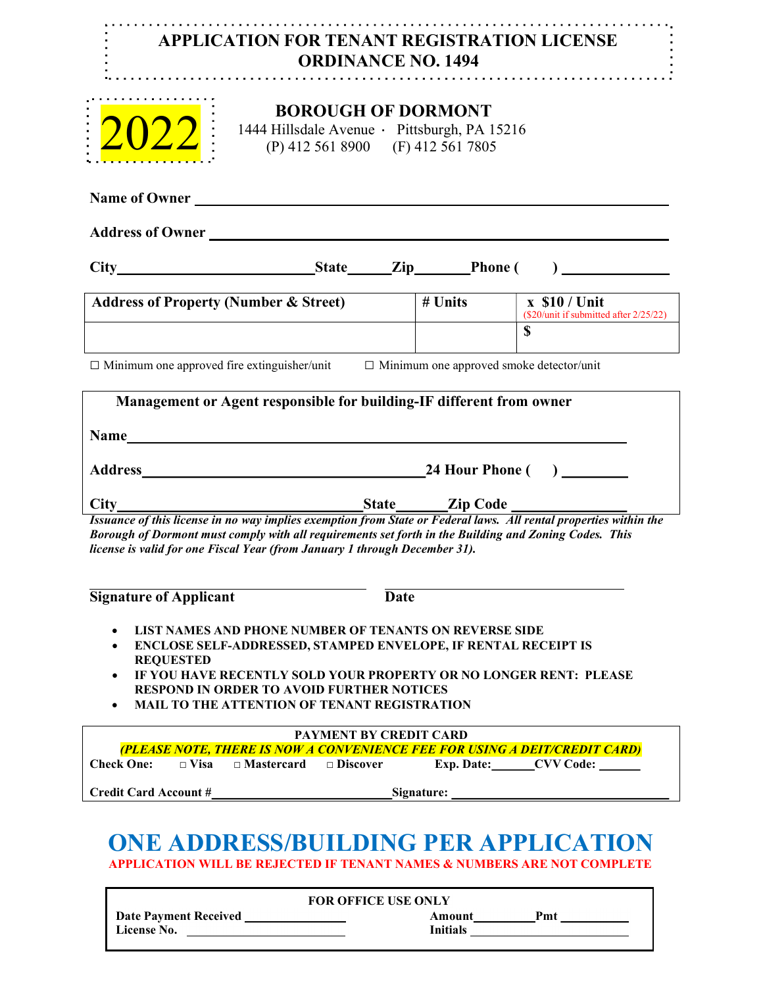## APPLICATION FOR TENANT REGISTRATION LICENSE ORDINANCE NO. 1494



## BOROUGH OF DORMONT

1444 Hillsdale Avenue · Pittsburgh, PA 15216 (P) 412 561 8900 (F) 412 561 7805

Name of Owner Address of Owner City State Zip Phone ( ) Address of Property (Number & Street)  $\frac{1}{4}$  Units  $\frac{1}{8}$  x \$10 / Unit (\$20/unit if submitted after 2/25/22)  $\sim$   $\sim$   $\sim$   $\sim$  $\Box$  Minimum one approved fire extinguisher/unit  $\Box$  Minimum one approved smoke detector/unit Issuance of this license in no way implies exemption from State or Federal laws. All rental properties within the Borough of Dormont must comply with all requirements set forth in the Building and Zoning Codes. This license is valid for one Fiscal Year (from January 1 through December 31). Management or Agent responsible for building-IF different from owner Name Address 24 Hour Phone ( ) City State Zip Code

Signature of Applicant Date

- LIST NAMES AND PHONE NUMBER OF TENANTS ON REVERSE SIDE
- ENCLOSE SELF-ADDRESSED, STAMPED ENVELOPE, IF RENTAL RECEIPT IS REQUESTED
- IF YOU HAVE RECENTLY SOLD YOUR PROPERTY OR NO LONGER RENT: PLEASE RESPOND IN ORDER TO AVOID FURTHER NOTICES
- MAIL TO THE ATTENTION OF TENANT REGISTRATION

| <b>PAYMENT BY CREDIT CARD</b> |  |                               |            |                   |                                                                            |  |  |
|-------------------------------|--|-------------------------------|------------|-------------------|----------------------------------------------------------------------------|--|--|
|                               |  |                               |            |                   | (PLEASE NOTE, THERE IS NOW A CONVENIENCE FEE FOR USING A DEIT/CREDIT CARD) |  |  |
| Check One:                    |  | $\Box$ Visa $\Box$ Mastercard | — Discover | <b>Exp. Date:</b> | <b>CVV Code:</b>                                                           |  |  |
|                               |  |                               |            |                   |                                                                            |  |  |
| <b>Credit Card Account #</b>  |  | Signature:                    |            |                   |                                                                            |  |  |

## ONE ADDRESS/BUILDING PER APPLICATION APPLICATION WILL BE REJECTED IF TENANT NAMES & NUMBERS ARE NOT COMPLETE

| <b>FOR OFFICE USE ONLY</b>                  |                           |  |  |  |  |
|---------------------------------------------|---------------------------|--|--|--|--|
| <b>Date Payment Received</b><br>License No. | Pmt<br>Amount<br>Initials |  |  |  |  |